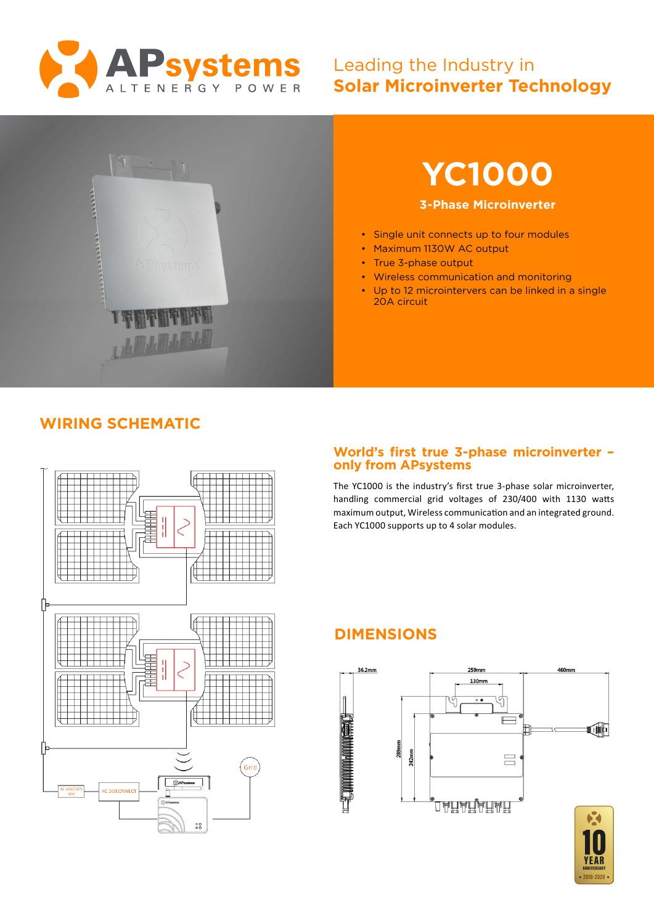

# Leading the Industry in **Solar Microinverter Technology**



# **YC1000**

#### **3-Phase Microinverter**

- Single unit connects up to four modules
- Maximum 1130W AC output
- True 3-phase output
- Wireless communication and monitoring
- Up to 12 microintervers can be linked in a single 20A circuit

## **WIRING SCHEMATIC**



### **World's first true 3-phase microinverter – only from APsystems**

The YC1000 is the industry's first true 3-phase solar microinverter, handling commercial grid voltages of 230/400 with 1130 watts maximum output, Wireless communication and an integrated ground. Each YC1000 supports up to 4 solar modules.

# **DIMENSIONS**



**ANNIVERSARY** 2010-2020